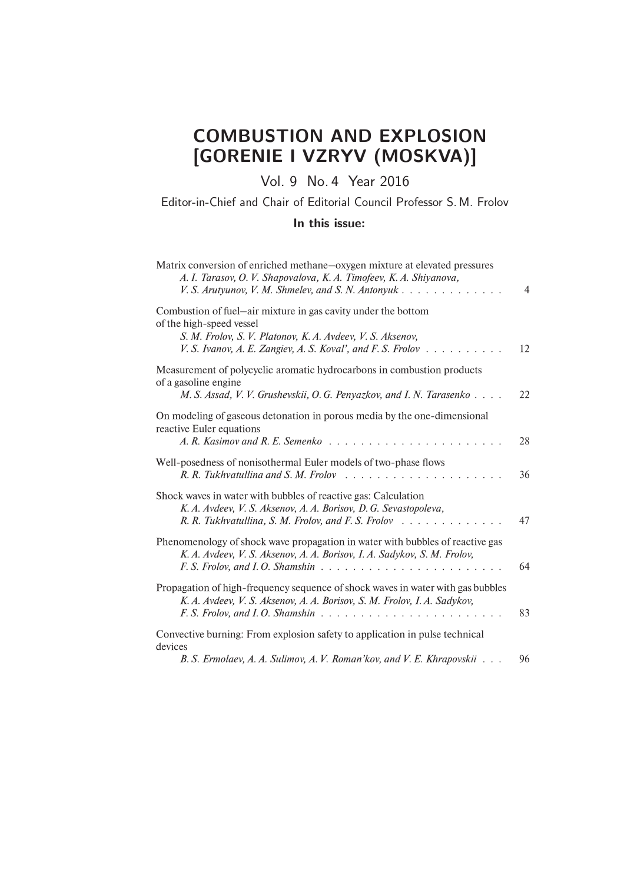# COMBUSTION AND EXPLOSION [GORENIE I VZRYV (MOSKVA)]

## Vol. 9 No. 4 Year 2016

#### Editor-in-Chief and Chair of Editorial Council Professor S. M. Frolov

#### In this issue:

| Matrix conversion of enriched methane-oxygen mixture at elevated pressures<br>A. I. Tarasov, O. V. Shapovalova, K. A. Timofeev, K. A. Shiyanova,<br>V. S. Arutyunov, V. M. Shmelev, and S. N. Antonyuk                 | $\overline{4}$ |
|------------------------------------------------------------------------------------------------------------------------------------------------------------------------------------------------------------------------|----------------|
| Combustion of fuel—air mixture in gas cavity under the bottom<br>of the high-speed vessel<br>S. M. Frolov, S. V. Platonov, K. A. Avdeev, V. S. Aksenov,<br>V. S. Ivanov, A. E. Zangiev, A. S. Koval', and F. S. Frolov | 12             |
| Measurement of polycyclic aromatic hydrocarbons in combustion products<br>of a gasoline engine<br>M. S. Assad, V. V. Grushevskii, O. G. Penyazkov, and I. N. Tarasenko                                                 | 22             |
| On modeling of gaseous detonation in porous media by the one-dimensional<br>reactive Euler equations<br>A. R. Kasimov and R. E. Semenko<br>.                                                                           | 28             |
| Well-posedness of nonisothermal Euler models of two-phase flows                                                                                                                                                        | 36             |
| Shock waves in water with bubbles of reactive gas: Calculation<br>K. A. Avdeev, V. S. Aksenov, A. A. Borisov, D. G. Sevastopoleva,<br>R. R. Tukhvatullina, S. M. Frolov, and F. S. Frolov                              | 47             |
| Phenomenology of shock wave propagation in water with bubbles of reactive gas<br>K. A. Avdeev, V. S. Aksenov, A. A. Borisov, I. A. Sadykov, S. M. Frolov,                                                              | 64             |
| Propagation of high-frequency sequence of shock waves in water with gas bubbles<br>K. A. Avdeev, V. S. Aksenov, A. A. Borisov, S. M. Frolov, I. A. Sadykov,                                                            | 83             |
| Convective burning: From explosion safety to application in pulse technical<br>devices                                                                                                                                 |                |
| B. S. Ermolaev, A. A. Sulimov, A. V. Roman'kov, and V. E. Khrapovskii                                                                                                                                                  | 96             |